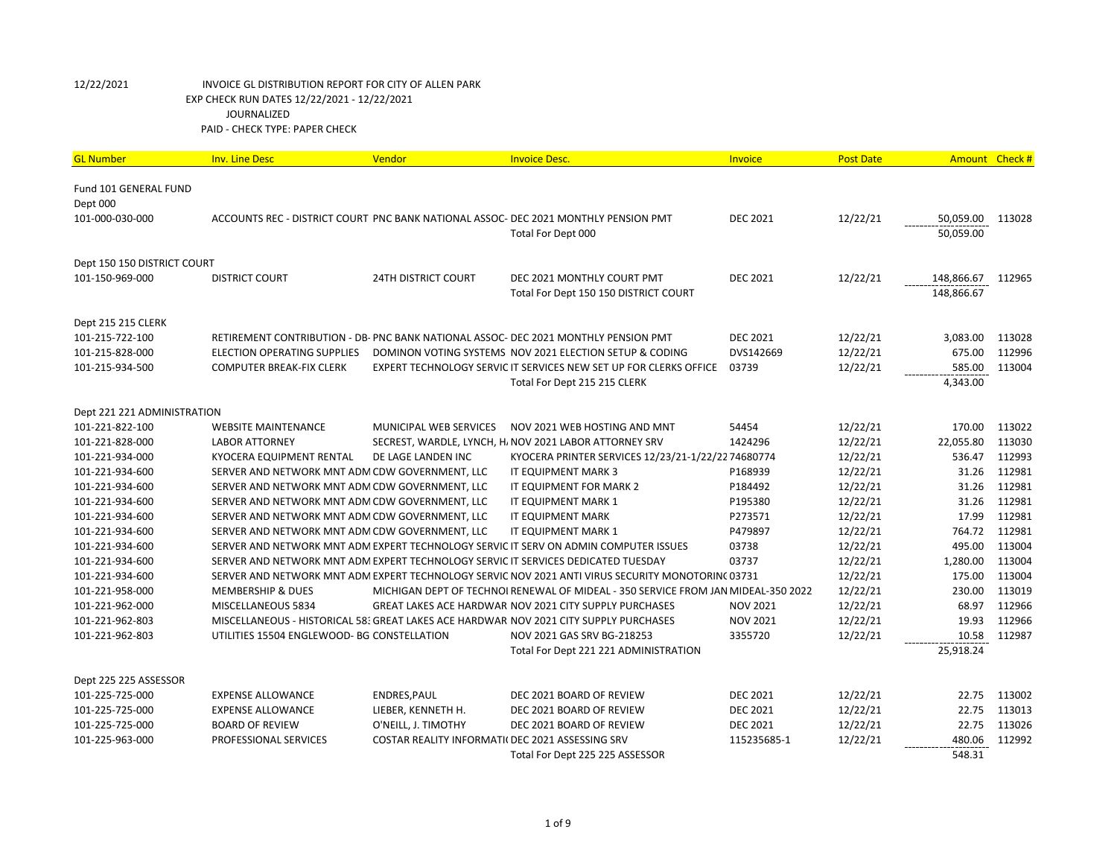| <b>GL Number</b>            | <b>Inv. Line Desc</b>                          | Vendor                                           | <b>Invoice Desc.</b>                                                                              | Invoice         | <b>Post Date</b> | Amount Check # |        |
|-----------------------------|------------------------------------------------|--------------------------------------------------|---------------------------------------------------------------------------------------------------|-----------------|------------------|----------------|--------|
| Fund 101 GENERAL FUND       |                                                |                                                  |                                                                                                   |                 |                  |                |        |
| Dept 000                    |                                                |                                                  |                                                                                                   |                 |                  |                |        |
| 101-000-030-000             |                                                |                                                  | ACCOUNTS REC - DISTRICT COURT PNC BANK NATIONAL ASSOC- DEC 2021 MONTHLY PENSION PMT               | <b>DEC 2021</b> | 12/22/21         | 50,059.00      | 113028 |
|                             |                                                |                                                  | Total For Dept 000                                                                                |                 |                  | 50,059.00      |        |
|                             |                                                |                                                  |                                                                                                   |                 |                  |                |        |
| Dept 150 150 DISTRICT COURT |                                                |                                                  |                                                                                                   |                 |                  |                |        |
| 101-150-969-000             | <b>DISTRICT COURT</b>                          | 24TH DISTRICT COURT                              | DEC 2021 MONTHLY COURT PMT                                                                        | <b>DEC 2021</b> | 12/22/21         | 148,866.67     | 112965 |
|                             |                                                |                                                  | Total For Dept 150 150 DISTRICT COURT                                                             |                 |                  | 148,866.67     |        |
|                             |                                                |                                                  |                                                                                                   |                 |                  |                |        |
| Dept 215 215 CLERK          |                                                |                                                  |                                                                                                   |                 |                  |                |        |
| 101-215-722-100             |                                                |                                                  | RETIREMENT CONTRIBUTION - DB- PNC BANK NATIONAL ASSOC- DEC 2021 MONTHLY PENSION PMT               | <b>DEC 2021</b> | 12/22/21         | 3,083.00       | 113028 |
| 101-215-828-000             | <b>ELECTION OPERATING SUPPLIES</b>             |                                                  | DOMINON VOTING SYSTEMS NOV 2021 ELECTION SETUP & CODING                                           | DVS142669       | 12/22/21         | 675.00         | 112996 |
| 101-215-934-500             | <b>COMPUTER BREAK-FIX CLERK</b>                |                                                  | EXPERT TECHNOLOGY SERVIC IT SERVICES NEW SET UP FOR CLERKS OFFICE                                 | 03739           | 12/22/21         | 585.00         | 113004 |
|                             |                                                |                                                  | Total For Dept 215 215 CLERK                                                                      |                 |                  | 4,343.00       |        |
| Dept 221 221 ADMINISTRATION |                                                |                                                  |                                                                                                   |                 |                  |                |        |
| 101-221-822-100             | <b>WEBSITE MAINTENANCE</b>                     | MUNICIPAL WEB SERVICES                           | NOV 2021 WEB HOSTING AND MNT                                                                      | 54454           | 12/22/21         | 170.00         | 113022 |
| 101-221-828-000             | <b>LABOR ATTORNEY</b>                          |                                                  | SECREST, WARDLE, LYNCH, H, NOV 2021 LABOR ATTORNEY SRV                                            | 1424296         | 12/22/21         | 22,055.80      | 113030 |
| 101-221-934-000             | KYOCERA EQUIPMENT RENTAL                       | DE LAGE LANDEN INC                               | KYOCERA PRINTER SERVICES 12/23/21-1/22/22 74680774                                                |                 | 12/22/21         | 536.47         | 112993 |
| 101-221-934-600             | SERVER AND NETWORK MNT ADM CDW GOVERNMENT, LLC |                                                  | IT EQUIPMENT MARK 3                                                                               | P168939         | 12/22/21         | 31.26          | 112981 |
| 101-221-934-600             | SERVER AND NETWORK MNT ADM CDW GOVERNMENT, LLC |                                                  | IT EQUIPMENT FOR MARK 2                                                                           | P184492         | 12/22/21         | 31.26          | 112981 |
| 101-221-934-600             | SERVER AND NETWORK MNT ADM CDW GOVERNMENT, LLC |                                                  | IT EQUIPMENT MARK 1                                                                               | P195380         | 12/22/21         | 31.26          | 112981 |
| 101-221-934-600             | SERVER AND NETWORK MNT ADM CDW GOVERNMENT, LLC |                                                  | IT EQUIPMENT MARK                                                                                 | P273571         | 12/22/21         | 17.99          | 112981 |
| 101-221-934-600             | SERVER AND NETWORK MNT ADM CDW GOVERNMENT, LLC |                                                  | <b>IT EQUIPMENT MARK 1</b>                                                                        | P479897         | 12/22/21         | 764.72         | 112981 |
| 101-221-934-600             |                                                |                                                  | SERVER AND NETWORK MNT ADM EXPERT TECHNOLOGY SERVIC IT SERV ON ADMIN COMPUTER ISSUES              | 03738           | 12/22/21         | 495.00         | 113004 |
| 101-221-934-600             |                                                |                                                  | SERVER AND NETWORK MNT ADM EXPERT TECHNOLOGY SERVIC IT SERVICES DEDICATED TUESDAY                 | 03737           | 12/22/21         | 1,280.00       | 113004 |
| 101-221-934-600             |                                                |                                                  | SERVER AND NETWORK MNT ADM EXPERT TECHNOLOGY SERVIC NOV 2021 ANTI VIRUS SECURITY MONOTORINC 03731 |                 | 12/22/21         | 175.00         | 113004 |
| 101-221-958-000             | <b>MEMBERSHIP &amp; DUES</b>                   |                                                  | MICHIGAN DEPT OF TECHNOI RENEWAL OF MIDEAL - 350 SERVICE FROM JAN MIDEAL-350 2022                 |                 | 12/22/21         | 230.00         | 113019 |
| 101-221-962-000             | MISCELLANEOUS 5834                             |                                                  | <b>GREAT LAKES ACE HARDWAR NOV 2021 CITY SUPPLY PURCHASES</b>                                     | <b>NOV 2021</b> | 12/22/21         | 68.97          | 112966 |
| 101-221-962-803             |                                                |                                                  | MISCELLANEOUS - HISTORICAL 58: GREAT LAKES ACE HARDWAR NOV 2021 CITY SUPPLY PURCHASES             | <b>NOV 2021</b> | 12/22/21         | 19.93          | 112966 |
| 101-221-962-803             | UTILITIES 15504 ENGLEWOOD- BG CONSTELLATION    |                                                  | NOV 2021 GAS SRV BG-218253                                                                        | 3355720         | 12/22/21         | 10.58          | 112987 |
|                             |                                                |                                                  | Total For Dept 221 221 ADMINISTRATION                                                             |                 |                  | 25,918.24      |        |
| Dept 225 225 ASSESSOR       |                                                |                                                  |                                                                                                   |                 |                  |                |        |
| 101-225-725-000             | <b>EXPENSE ALLOWANCE</b>                       | ENDRES, PAUL                                     | DEC 2021 BOARD OF REVIEW                                                                          | <b>DEC 2021</b> | 12/22/21         | 22.75          | 113002 |
| 101-225-725-000             | <b>EXPENSE ALLOWANCE</b>                       | LIEBER, KENNETH H.                               | DEC 2021 BOARD OF REVIEW                                                                          | <b>DEC 2021</b> | 12/22/21         | 22.75          | 113013 |
| 101-225-725-000             | <b>BOARD OF REVIEW</b>                         | O'NEILL, J. TIMOTHY                              | DEC 2021 BOARD OF REVIEW                                                                          | <b>DEC 2021</b> | 12/22/21         | 22.75          | 113026 |
| 101-225-963-000             | PROFESSIONAL SERVICES                          | COSTAR REALITY INFORMATI( DEC 2021 ASSESSING SRV |                                                                                                   | 115235685-1     | 12/22/21         | 480.06         | 112992 |
|                             |                                                |                                                  | Total For Dept 225 225 ASSESSOR                                                                   |                 |                  | 548.31         |        |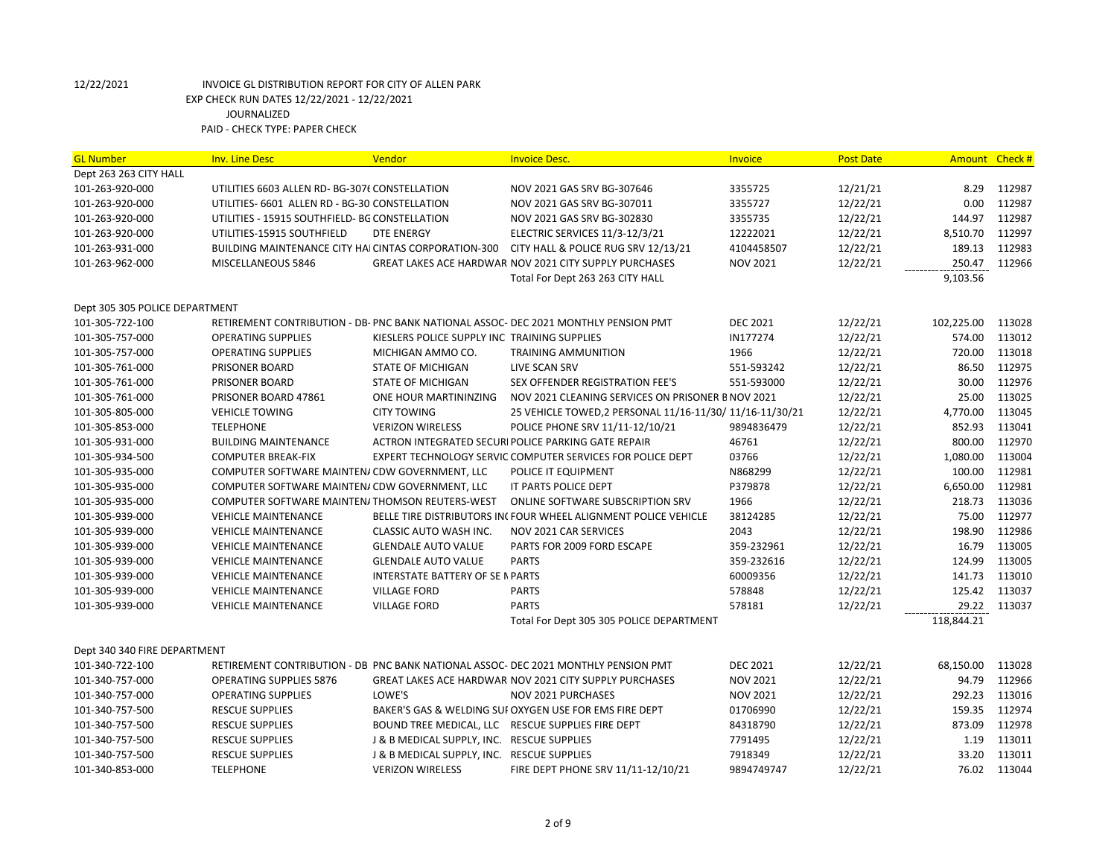| <b>GL Number</b>               | <b>Inv. Line Desc</b>                                | Vendor                                            | <b>Invoice Desc.</b>                                                                | <b>Invoice</b>  | <b>Post Date</b> | Amount Check # |        |
|--------------------------------|------------------------------------------------------|---------------------------------------------------|-------------------------------------------------------------------------------------|-----------------|------------------|----------------|--------|
| Dept 263 263 CITY HALL         |                                                      |                                                   |                                                                                     |                 |                  |                |        |
| 101-263-920-000                | UTILITIES 6603 ALLEN RD- BG-3076 CONSTELLATION       |                                                   | NOV 2021 GAS SRV BG-307646                                                          | 3355725         | 12/21/21         | 8.29           | 112987 |
| 101-263-920-000                | UTILITIES- 6601 ALLEN RD - BG-30 CONSTELLATION       |                                                   | NOV 2021 GAS SRV BG-307011                                                          | 3355727         | 12/22/21         | 0.00           | 112987 |
| 101-263-920-000                | UTILITIES - 15915 SOUTHFIELD- BG CONSTELLATION       |                                                   | NOV 2021 GAS SRV BG-302830                                                          | 3355735         | 12/22/21         | 144.97         | 112987 |
| 101-263-920-000                | UTILITIES-15915 SOUTHFIELD                           | <b>DTE ENERGY</b>                                 | ELECTRIC SERVICES 11/3-12/3/21                                                      | 12222021        | 12/22/21         | 8,510.70       | 112997 |
| 101-263-931-000                | BUILDING MAINTENANCE CITY HAI CINTAS CORPORATION-300 |                                                   | CITY HALL & POLICE RUG SRV 12/13/21                                                 | 4104458507      | 12/22/21         | 189.13         | 112983 |
| 101-263-962-000                | MISCELLANEOUS 5846                                   |                                                   | GREAT LAKES ACE HARDWAR NOV 2021 CITY SUPPLY PURCHASES                              | <b>NOV 2021</b> | 12/22/21         | 250.47         | 112966 |
|                                |                                                      |                                                   | Total For Dept 263 263 CITY HALL                                                    |                 |                  | 9,103.56       |        |
|                                |                                                      |                                                   |                                                                                     |                 |                  |                |        |
| Dept 305 305 POLICE DEPARTMENT |                                                      |                                                   |                                                                                     |                 |                  |                |        |
| 101-305-722-100                |                                                      |                                                   | RETIREMENT CONTRIBUTION - DB- PNC BANK NATIONAL ASSOC- DEC 2021 MONTHLY PENSION PMT | <b>DEC 2021</b> | 12/22/21         | 102,225.00     | 113028 |
| 101-305-757-000                | <b>OPERATING SUPPLIES</b>                            | KIESLERS POLICE SUPPLY INC TRAINING SUPPLIES      |                                                                                     | IN177274        | 12/22/21         | 574.00         | 113012 |
| 101-305-757-000                | <b>OPERATING SUPPLIES</b>                            | MICHIGAN AMMO CO.                                 | <b>TRAINING AMMUNITION</b>                                                          | 1966            | 12/22/21         | 720.00         | 113018 |
| 101-305-761-000                | PRISONER BOARD                                       | <b>STATE OF MICHIGAN</b>                          | <b>LIVE SCAN SRV</b>                                                                | 551-593242      | 12/22/21         | 86.50          | 112975 |
| 101-305-761-000                | PRISONER BOARD                                       | <b>STATE OF MICHIGAN</b>                          | SEX OFFENDER REGISTRATION FEE'S                                                     | 551-593000      | 12/22/21         | 30.00          | 112976 |
| 101-305-761-000                | PRISONER BOARD 47861                                 | ONE HOUR MARTININZING                             | NOV 2021 CLEANING SERVICES ON PRISONER B NOV 2021                                   |                 | 12/22/21         | 25.00          | 113025 |
| 101-305-805-000                | <b>VEHICLE TOWING</b>                                | <b>CITY TOWING</b>                                | 25 VEHICLE TOWED, 2 PERSONAL 11/16-11/30/ 11/16-11/30/21                            |                 | 12/22/21         | 4,770.00       | 113045 |
| 101-305-853-000                | <b>TELEPHONE</b>                                     | <b>VERIZON WIRELESS</b>                           | POLICE PHONE SRV 11/11-12/10/21                                                     | 9894836479      | 12/22/21         | 852.93         | 113041 |
| 101-305-931-000                | <b>BUILDING MAINTENANCE</b>                          |                                                   | ACTRON INTEGRATED SECURI POLICE PARKING GATE REPAIR                                 | 46761           | 12/22/21         | 800.00         | 112970 |
| 101-305-934-500                | <b>COMPUTER BREAK-FIX</b>                            |                                                   | EXPERT TECHNOLOGY SERVIC COMPUTER SERVICES FOR POLICE DEPT                          | 03766           | 12/22/21         | 1,080.00       | 113004 |
| 101-305-935-000                | COMPUTER SOFTWARE MAINTEN/ CDW GOVERNMENT, LLC       |                                                   | POLICE IT EQUIPMENT                                                                 | N868299         | 12/22/21         | 100.00         | 112981 |
| 101-305-935-000                | COMPUTER SOFTWARE MAINTEN/ CDW GOVERNMENT, LLC       |                                                   | IT PARTS POLICE DEPT                                                                | P379878         | 12/22/21         | 6,650.00       | 112981 |
| 101-305-935-000                | COMPUTER SOFTWARE MAINTEN/THOMSON REUTERS-WEST       |                                                   | ONLINE SOFTWARE SUBSCRIPTION SRV                                                    | 1966            | 12/22/21         | 218.73         | 113036 |
| 101-305-939-000                | <b>VEHICLE MAINTENANCE</b>                           |                                                   | BELLE TIRE DISTRIBUTORS IN(FOUR WHEEL ALIGNMENT POLICE VEHICLE                      | 38124285        | 12/22/21         | 75.00          | 112977 |
| 101-305-939-000                | <b>VEHICLE MAINTENANCE</b>                           | CLASSIC AUTO WASH INC.                            | NOV 2021 CAR SERVICES                                                               | 2043            | 12/22/21         | 198.90         | 112986 |
| 101-305-939-000                | <b>VEHICLE MAINTENANCE</b>                           | <b>GLENDALE AUTO VALUE</b>                        | PARTS FOR 2009 FORD ESCAPE                                                          | 359-232961      | 12/22/21         | 16.79          | 113005 |
| 101-305-939-000                | <b>VEHICLE MAINTENANCE</b>                           | <b>GLENDALE AUTO VALUE</b>                        | <b>PARTS</b>                                                                        | 359-232616      | 12/22/21         | 124.99         | 113005 |
| 101-305-939-000                | <b>VEHICLE MAINTENANCE</b>                           | INTERSTATE BATTERY OF SE N PARTS                  |                                                                                     | 60009356        | 12/22/21         | 141.73         | 113010 |
| 101-305-939-000                | <b>VEHICLE MAINTENANCE</b>                           | <b>VILLAGE FORD</b>                               | <b>PARTS</b>                                                                        | 578848          | 12/22/21         | 125.42         | 113037 |
| 101-305-939-000                | <b>VEHICLE MAINTENANCE</b>                           | <b>VILLAGE FORD</b>                               | <b>PARTS</b>                                                                        | 578181          | 12/22/21         | 29.22          | 113037 |
|                                |                                                      |                                                   | Total For Dept 305 305 POLICE DEPARTMENT                                            |                 |                  | 118,844.21     |        |
|                                |                                                      |                                                   |                                                                                     |                 |                  |                |        |
| Dept 340 340 FIRE DEPARTMENT   |                                                      |                                                   |                                                                                     |                 |                  |                |        |
| 101-340-722-100                |                                                      |                                                   | RETIREMENT CONTRIBUTION - DB PNC BANK NATIONAL ASSOC- DEC 2021 MONTHLY PENSION PMT  | <b>DEC 2021</b> | 12/22/21         | 68,150.00      | 113028 |
| 101-340-757-000                | <b>OPERATING SUPPLIES 5876</b>                       |                                                   | GREAT LAKES ACE HARDWAR NOV 2021 CITY SUPPLY PURCHASES                              | <b>NOV 2021</b> | 12/22/21         | 94.79          | 112966 |
| 101-340-757-000                | <b>OPERATING SUPPLIES</b>                            | LOWE'S                                            | NOV 2021 PURCHASES                                                                  | <b>NOV 2021</b> | 12/22/21         | 292.23         | 113016 |
| 101-340-757-500                | <b>RESCUE SUPPLIES</b>                               |                                                   | BAKER'S GAS & WELDING SUI OXYGEN USE FOR EMS FIRE DEPT                              | 01706990        | 12/22/21         | 159.35         | 112974 |
| 101-340-757-500                | <b>RESCUE SUPPLIES</b>                               | BOUND TREE MEDICAL, LLC RESCUE SUPPLIES FIRE DEPT |                                                                                     | 84318790        | 12/22/21         | 873.09         | 112978 |
| 101-340-757-500                | <b>RESCUE SUPPLIES</b>                               | J & B MEDICAL SUPPLY, INC. RESCUE SUPPLIES        |                                                                                     | 7791495         | 12/22/21         | 1.19           | 113011 |
| 101-340-757-500                | <b>RESCUE SUPPLIES</b>                               | J & B MEDICAL SUPPLY, INC. RESCUE SUPPLIES        |                                                                                     | 7918349         | 12/22/21         | 33.20          | 113011 |
| 101-340-853-000                | <b>TELEPHONE</b>                                     | <b>VERIZON WIRELESS</b>                           | FIRE DEPT PHONE SRV 11/11-12/10/21                                                  | 9894749747      | 12/22/21         | 76.02          | 113044 |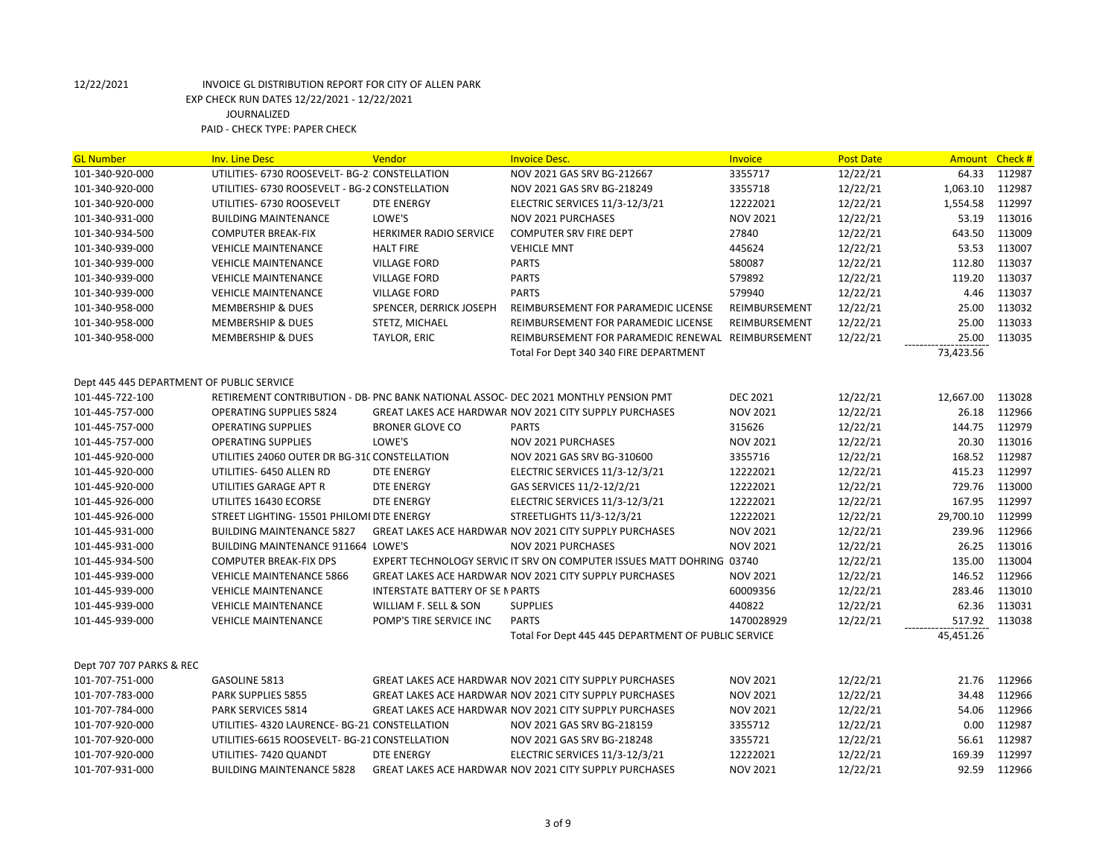| <b>GL Number</b>                          | <b>Inv. Line Desc</b>                          | Vendor                                  | <b>Invoice Desc.</b>                                                                | Invoice         | <b>Post Date</b> | Amount Check # |                  |
|-------------------------------------------|------------------------------------------------|-----------------------------------------|-------------------------------------------------------------------------------------|-----------------|------------------|----------------|------------------|
| 101-340-920-000                           | UTILITIES- 6730 ROOSEVELT- BG-2: CONSTELLATION |                                         | NOV 2021 GAS SRV BG-212667                                                          | 3355717         | 12/22/21         | 64.33          | 112987           |
| 101-340-920-000                           | UTILITIES- 6730 ROOSEVELT - BG-2 CONSTELLATION |                                         | NOV 2021 GAS SRV BG-218249                                                          | 3355718         | 12/22/21         | 1,063.10       | 112987           |
| 101-340-920-000                           | UTILITIES- 6730 ROOSEVELT                      | <b>DTE ENERGY</b>                       | ELECTRIC SERVICES 11/3-12/3/21                                                      | 12222021        | 12/22/21         | 1,554.58       | 112997           |
| 101-340-931-000                           | <b>BUILDING MAINTENANCE</b>                    | LOWE'S                                  | NOV 2021 PURCHASES                                                                  | <b>NOV 2021</b> | 12/22/21         | 53.19          | 113016           |
| 101-340-934-500                           | <b>COMPUTER BREAK-FIX</b>                      | HERKIMER RADIO SERVICE                  | COMPUTER SRV FIRE DEPT                                                              | 27840           | 12/22/21         | 643.50         | 113009           |
| 101-340-939-000                           | <b>VEHICLE MAINTENANCE</b>                     | <b>HALT FIRE</b>                        | <b>VEHICLE MNT</b>                                                                  | 445624          | 12/22/21         | 53.53          | 113007           |
| 101-340-939-000                           | <b>VEHICLE MAINTENANCE</b>                     | <b>VILLAGE FORD</b>                     | <b>PARTS</b>                                                                        | 580087          | 12/22/21         | 112.80         | 113037           |
| 101-340-939-000                           | <b>VEHICLE MAINTENANCE</b>                     | <b>VILLAGE FORD</b>                     | <b>PARTS</b>                                                                        | 579892          | 12/22/21         | 119.20         | 113037           |
| 101-340-939-000                           | <b>VEHICLE MAINTENANCE</b>                     | <b>VILLAGE FORD</b>                     | <b>PARTS</b>                                                                        | 579940          | 12/22/21         | 4.46           | 113037           |
| 101-340-958-000                           | <b>MEMBERSHIP &amp; DUES</b>                   | SPENCER, DERRICK JOSEPH                 | REIMBURSEMENT FOR PARAMEDIC LICENSE                                                 | REIMBURSEMENT   | 12/22/21         | 25.00          | 113032           |
| 101-340-958-000                           | <b>MEMBERSHIP &amp; DUES</b>                   | STETZ, MICHAEL                          | REIMBURSEMENT FOR PARAMEDIC LICENSE                                                 | REIMBURSEMENT   | 12/22/21         | 25.00          | 113033           |
| 101-340-958-000                           | <b>MEMBERSHIP &amp; DUES</b>                   | TAYLOR, ERIC                            | REIMBURSEMENT FOR PARAMEDIC RENEWAL REIMBURSEMENT                                   |                 | 12/22/21         | 25.00          | 113035           |
|                                           |                                                |                                         | Total For Dept 340 340 FIRE DEPARTMENT                                              |                 |                  | 73,423.56      |                  |
|                                           |                                                |                                         |                                                                                     |                 |                  |                |                  |
| Dept 445 445 DEPARTMENT OF PUBLIC SERVICE |                                                |                                         |                                                                                     |                 |                  |                |                  |
| 101-445-722-100                           |                                                |                                         | RETIREMENT CONTRIBUTION - DB- PNC BANK NATIONAL ASSOC- DEC 2021 MONTHLY PENSION PMT | <b>DEC 2021</b> | 12/22/21         | 12,667.00      | 113028           |
| 101-445-757-000                           | <b>OPERATING SUPPLIES 5824</b>                 |                                         | GREAT LAKES ACE HARDWAR NOV 2021 CITY SUPPLY PURCHASES                              | <b>NOV 2021</b> | 12/22/21         | 26.18          | 112966           |
| 101-445-757-000                           | <b>OPERATING SUPPLIES</b>                      | <b>BRONER GLOVE CO</b>                  | <b>PARTS</b>                                                                        | 315626          | 12/22/21         | 144.75         | 112979           |
| 101-445-757-000                           | <b>OPERATING SUPPLIES</b>                      | LOWE'S                                  | NOV 2021 PURCHASES                                                                  | <b>NOV 2021</b> | 12/22/21         | 20.30          | 113016           |
| 101-445-920-000                           | UTILITIES 24060 OUTER DR BG-310 CONSTELLATION  |                                         | NOV 2021 GAS SRV BG-310600                                                          | 3355716         | 12/22/21         | 168.52         | 112987           |
| 101-445-920-000                           | UTILITIES- 6450 ALLEN RD                       | <b>DTE ENERGY</b>                       | ELECTRIC SERVICES 11/3-12/3/21                                                      | 12222021        | 12/22/21         | 415.23         | 112997           |
| 101-445-920-000                           | UTILITIES GARAGE APT R                         | DTE ENERGY                              | GAS SERVICES 11/2-12/2/21                                                           | 12222021        | 12/22/21         | 729.76         | 113000           |
| 101-445-926-000                           | UTILITES 16430 ECORSE                          | <b>DTE ENERGY</b>                       | ELECTRIC SERVICES 11/3-12/3/21                                                      | 12222021        | 12/22/21         | 167.95         | 112997           |
| 101-445-926-000                           | STREET LIGHTING- 15501 PHILOMI DTE ENERGY      |                                         | STREETLIGHTS 11/3-12/3/21                                                           | 12222021        | 12/22/21         | 29,700.10      | 112999           |
| 101-445-931-000                           | <b>BUILDING MAINTENANCE 5827</b>               |                                         | GREAT LAKES ACE HARDWAR NOV 2021 CITY SUPPLY PURCHASES                              | <b>NOV 2021</b> | 12/22/21         | 239.96         | 112966           |
| 101-445-931-000                           | <b>BUILDING MAINTENANCE 911664 LOWE'S</b>      |                                         | <b>NOV 2021 PURCHASES</b>                                                           | <b>NOV 2021</b> | 12/22/21         | 26.25          | 113016           |
| 101-445-934-500                           | <b>COMPUTER BREAK-FIX DPS</b>                  |                                         | EXPERT TECHNOLOGY SERVIC IT SRV ON COMPUTER ISSUES MATT DOHRING 03740               |                 | 12/22/21         | 135.00         | 113004           |
| 101-445-939-000                           | <b>VEHICLE MAINTENANCE 5866</b>                |                                         | <b>GREAT LAKES ACE HARDWAR NOV 2021 CITY SUPPLY PURCHASES</b>                       | <b>NOV 2021</b> | 12/22/21         | 146.52         | 112966           |
| 101-445-939-000                           | <b>VEHICLE MAINTENANCE</b>                     | <b>INTERSTATE BATTERY OF SE N PARTS</b> |                                                                                     | 60009356        | 12/22/21         | 283.46         | 113010           |
| 101-445-939-000                           | <b>VEHICLE MAINTENANCE</b>                     | WILLIAM F. SELL & SON                   | <b>SUPPLIES</b>                                                                     | 440822          | 12/22/21         | 62.36          | 113031           |
| 101-445-939-000                           | <b>VEHICLE MAINTENANCE</b>                     | POMP'S TIRE SERVICE INC                 | <b>PARTS</b>                                                                        | 1470028929      | 12/22/21         | 517.92         | 113038           |
|                                           |                                                |                                         | Total For Dept 445 445 DEPARTMENT OF PUBLIC SERVICE                                 |                 |                  | 45,451.26      |                  |
|                                           |                                                |                                         |                                                                                     |                 |                  |                |                  |
| Dept 707 707 PARKS & REC                  |                                                |                                         |                                                                                     |                 |                  |                |                  |
| 101-707-751-000                           | GASOLINE 5813                                  |                                         | GREAT LAKES ACE HARDWAR NOV 2021 CITY SUPPLY PURCHASES                              | <b>NOV 2021</b> | 12/22/21         | 21.76          | 112966           |
| 101-707-783-000                           | PARK SUPPLIES 5855                             |                                         | <b>GREAT LAKES ACE HARDWAR NOV 2021 CITY SUPPLY PURCHASES</b>                       | <b>NOV 2021</b> | 12/22/21         | 34.48          | 112966<br>112966 |
| 101-707-784-000                           | PARK SERVICES 5814                             |                                         | GREAT LAKES ACE HARDWAR NOV 2021 CITY SUPPLY PURCHASES                              | <b>NOV 2021</b> | 12/22/21         | 54.06          |                  |
| 101-707-920-000                           | UTILITIES- 4320 LAURENCE- BG-21 CONSTELLATION  |                                         | NOV 2021 GAS SRV BG-218159                                                          | 3355712         | 12/22/21         | 0.00           | 112987           |
| 101-707-920-000                           | UTILITIES-6615 ROOSEVELT- BG-21 CONSTELLATION  |                                         | NOV 2021 GAS SRV BG-218248                                                          | 3355721         | 12/22/21         | 56.61          | 112987           |
| 101-707-920-000                           | UTILITIES-7420 QUANDT                          | <b>DTE ENERGY</b>                       | ELECTRIC SERVICES 11/3-12/3/21                                                      | 12222021        | 12/22/21         | 169.39         | 112997           |
| 101-707-931-000                           | <b>BUILDING MAINTENANCE 5828</b>               |                                         | GREAT LAKES ACE HARDWAR NOV 2021 CITY SUPPLY PURCHASES                              | <b>NOV 2021</b> | 12/22/21         | 92.59          | 112966           |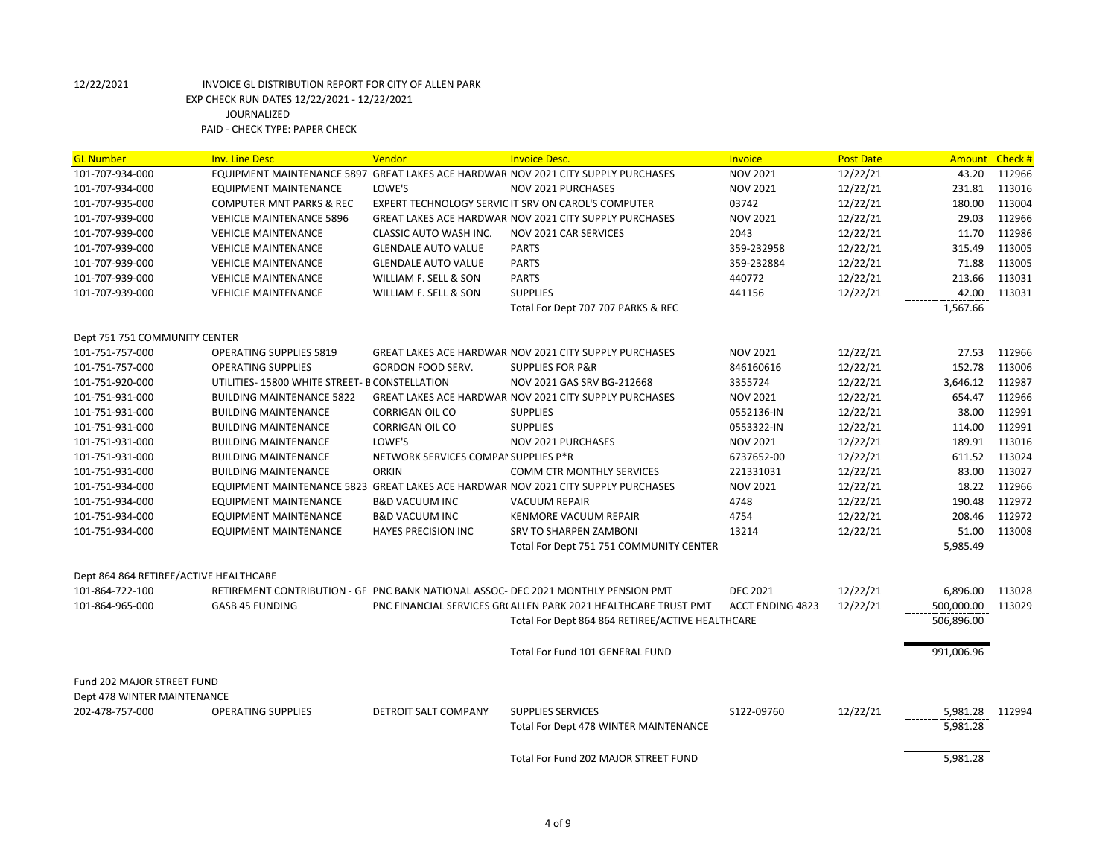| <b>GL Number</b>                       | <b>Inv. Line Desc</b>                         | Vendor                               | <b>Invoice Desc.</b>                                                               | Invoice                 | <b>Post Date</b> | Amount Check #  |        |
|----------------------------------------|-----------------------------------------------|--------------------------------------|------------------------------------------------------------------------------------|-------------------------|------------------|-----------------|--------|
| 101-707-934-000                        | EQUIPMENT MAINTENANCE 5897                    |                                      | GREAT LAKES ACE HARDWAR NOV 2021 CITY SUPPLY PURCHASES                             | <b>NOV 2021</b>         | 12/22/21         | 43.20           | 112966 |
| 101-707-934-000                        | <b>EQUIPMENT MAINTENANCE</b>                  | LOWE'S                               | NOV 2021 PURCHASES                                                                 | <b>NOV 2021</b>         | 12/22/21         | 231.81          | 113016 |
| 101-707-935-000                        | <b>COMPUTER MNT PARKS &amp; REC</b>           |                                      | EXPERT TECHNOLOGY SERVIC IT SRV ON CAROL'S COMPUTER                                | 03742                   | 12/22/21         | 180.00          | 113004 |
| 101-707-939-000                        | <b>VEHICLE MAINTENANCE 5896</b>               |                                      | GREAT LAKES ACE HARDWAR NOV 2021 CITY SUPPLY PURCHASES                             | <b>NOV 2021</b>         | 12/22/21         | 29.03           | 112966 |
| 101-707-939-000                        | <b>VEHICLE MAINTENANCE</b>                    | CLASSIC AUTO WASH INC.               | NOV 2021 CAR SERVICES                                                              | 2043                    | 12/22/21         | 11.70           | 112986 |
| 101-707-939-000                        | <b>VEHICLE MAINTENANCE</b>                    | <b>GLENDALE AUTO VALUE</b>           | <b>PARTS</b>                                                                       | 359-232958              | 12/22/21         | 315.49          | 113005 |
| 101-707-939-000                        | <b>VEHICLE MAINTENANCE</b>                    | <b>GLENDALE AUTO VALUE</b>           | <b>PARTS</b>                                                                       | 359-232884              | 12/22/21         | 71.88           | 113005 |
| 101-707-939-000                        | <b>VEHICLE MAINTENANCE</b>                    | WILLIAM F. SELL & SON                | <b>PARTS</b>                                                                       | 440772                  | 12/22/21         | 213.66          | 113031 |
| 101-707-939-000                        | <b>VEHICLE MAINTENANCE</b>                    | WILLIAM F. SELL & SON                | <b>SUPPLIES</b>                                                                    | 441156                  | 12/22/21         | 42.00           | 113031 |
|                                        |                                               |                                      | Total For Dept 707 707 PARKS & REC                                                 |                         |                  | 1,567.66        |        |
| Dept 751 751 COMMUNITY CENTER          |                                               |                                      |                                                                                    |                         |                  |                 |        |
| 101-751-757-000                        | <b>OPERATING SUPPLIES 5819</b>                |                                      | <b>GREAT LAKES ACE HARDWAR NOV 2021 CITY SUPPLY PURCHASES</b>                      | <b>NOV 2021</b>         | 12/22/21         | 27.53           | 112966 |
| 101-751-757-000                        | <b>OPERATING SUPPLIES</b>                     | <b>GORDON FOOD SERV.</b>             | <b>SUPPLIES FOR P&amp;R</b>                                                        | 846160616               | 12/22/21         | 152.78          | 113006 |
| 101-751-920-000                        | UTILITIES-15800 WHITE STREET- B CONSTELLATION |                                      | NOV 2021 GAS SRV BG-212668                                                         | 3355724                 | 12/22/21         | 3,646.12        | 112987 |
| 101-751-931-000                        | <b>BUILDING MAINTENANCE 5822</b>              |                                      | GREAT LAKES ACE HARDWAR NOV 2021 CITY SUPPLY PURCHASES                             | <b>NOV 2021</b>         | 12/22/21         | 654.47          | 112966 |
| 101-751-931-000                        | <b>BUILDING MAINTENANCE</b>                   | <b>CORRIGAN OIL CO</b>               | <b>SUPPLIES</b>                                                                    | 0552136-IN              | 12/22/21         | 38.00           | 112991 |
| 101-751-931-000                        | <b>BUILDING MAINTENANCE</b>                   | <b>CORRIGAN OIL CO</b>               | <b>SUPPLIES</b>                                                                    | 0553322-IN              | 12/22/21         | 114.00          | 112991 |
| 101-751-931-000                        | <b>BUILDING MAINTENANCE</b>                   | LOWE'S                               | <b>NOV 2021 PURCHASES</b>                                                          | <b>NOV 2021</b>         | 12/22/21         | 189.91          | 113016 |
| 101-751-931-000                        | <b>BUILDING MAINTENANCE</b>                   | NETWORK SERVICES COMPAI SUPPLIES P*R |                                                                                    | 6737652-00              | 12/22/21         | 611.52          | 113024 |
| 101-751-931-000                        | <b>BUILDING MAINTENANCE</b>                   | <b>ORKIN</b>                         | COMM CTR MONTHLY SERVICES                                                          | 221331031               | 12/22/21         | 83.00           | 113027 |
| 101-751-934-000                        |                                               |                                      | EQUIPMENT MAINTENANCE 5823 GREAT LAKES ACE HARDWAR NOV 2021 CITY SUPPLY PURCHASES  | <b>NOV 2021</b>         | 12/22/21         | 18.22           | 112966 |
| 101-751-934-000                        | EQUIPMENT MAINTENANCE                         | <b>B&amp;D VACUUM INC</b>            | <b>VACUUM REPAIR</b>                                                               | 4748                    | 12/22/21         | 190.48          | 112972 |
| 101-751-934-000                        | <b>EQUIPMENT MAINTENANCE</b>                  | <b>B&amp;D VACUUM INC</b>            | KENMORE VACUUM REPAIR                                                              | 4754                    | 12/22/21         | 208.46          | 112972 |
| 101-751-934-000                        | EQUIPMENT MAINTENANCE                         | <b>HAYES PRECISION INC</b>           | <b>SRV TO SHARPEN ZAMBONI</b>                                                      | 13214                   | 12/22/21         | 51.00           | 113008 |
|                                        |                                               |                                      | Total For Dept 751 751 COMMUNITY CENTER                                            |                         |                  | 5,985.49        |        |
| Dept 864 864 RETIREE/ACTIVE HEALTHCARE |                                               |                                      |                                                                                    |                         |                  |                 |        |
| 101-864-722-100                        |                                               |                                      | RETIREMENT CONTRIBUTION - GF PNC BANK NATIONAL ASSOC- DEC 2021 MONTHLY PENSION PMT | <b>DEC 2021</b>         | 12/22/21         | 6,896.00        | 113028 |
| 101-864-965-000                        | <b>GASB 45 FUNDING</b>                        |                                      | PNC FINANCIAL SERVICES GRI ALLEN PARK 2021 HEALTHCARE TRUST PMT                    | <b>ACCT ENDING 4823</b> | 12/22/21         | 500,000.00      | 113029 |
|                                        |                                               |                                      | Total For Dept 864 864 RETIREE/ACTIVE HEALTHCARE                                   |                         |                  | 506,896.00      |        |
|                                        |                                               |                                      | Total For Fund 101 GENERAL FUND                                                    |                         |                  | 991,006.96      |        |
| Fund 202 MAJOR STREET FUND             |                                               |                                      |                                                                                    |                         |                  |                 |        |
| Dept 478 WINTER MAINTENANCE            |                                               |                                      |                                                                                    |                         |                  |                 |        |
| 202-478-757-000                        | <b>OPERATING SUPPLIES</b>                     | DETROIT SALT COMPANY                 | <b>SUPPLIES SERVICES</b>                                                           | S122-09760              | 12/22/21         | 5,981.28 112994 |        |
|                                        |                                               |                                      | Total For Dept 478 WINTER MAINTENANCE                                              |                         |                  | 5,981.28        |        |
|                                        |                                               |                                      | Total For Fund 202 MAJOR STREET FUND                                               |                         |                  | 5,981.28        |        |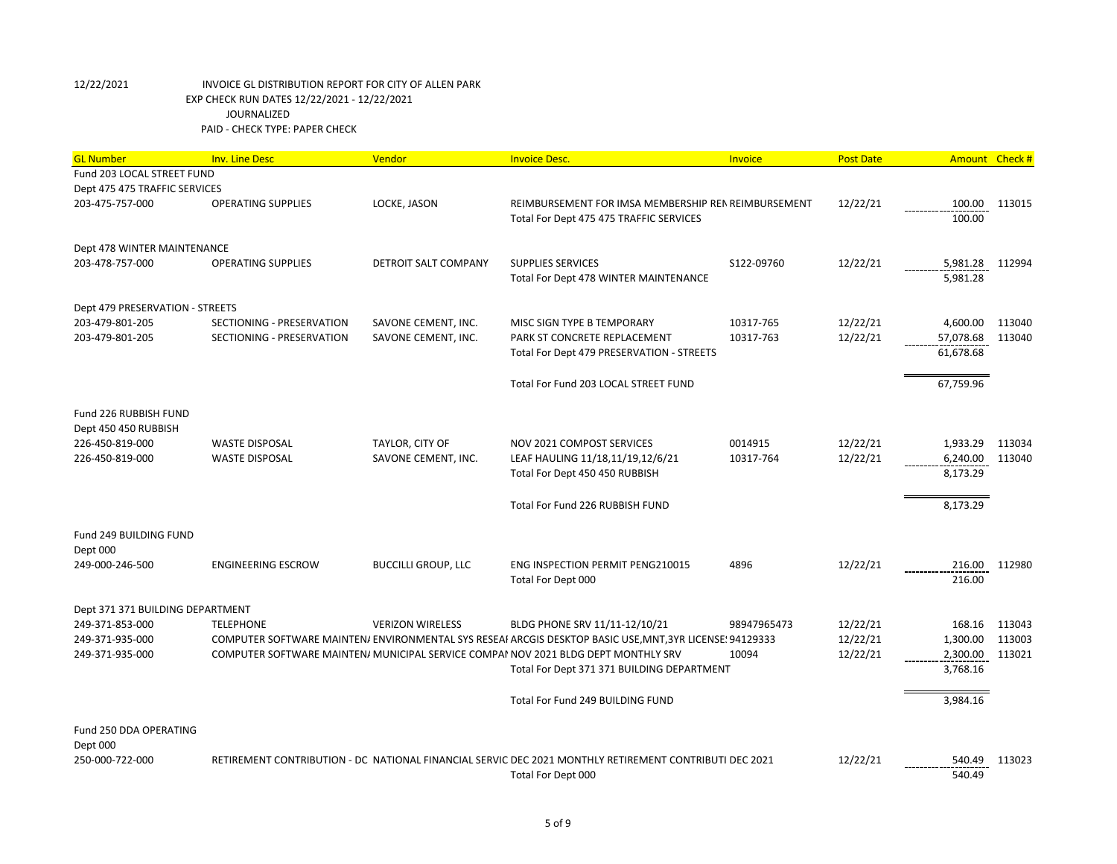| <b>GL Number</b>                              | <b>Inv. Line Desc</b>     | Vendor                     | <b>Invoice Desc.</b>                                                                                    | Invoice     | <b>Post Date</b> | Amount Check #         |        |
|-----------------------------------------------|---------------------------|----------------------------|---------------------------------------------------------------------------------------------------------|-------------|------------------|------------------------|--------|
| Fund 203 LOCAL STREET FUND                    |                           |                            |                                                                                                         |             |                  |                        |        |
| Dept 475 475 TRAFFIC SERVICES                 |                           |                            |                                                                                                         |             |                  |                        |        |
| 203-475-757-000                               | <b>OPERATING SUPPLIES</b> | LOCKE, JASON               | REIMBURSEMENT FOR IMSA MEMBERSHIP REN REIMBURSEMENT<br>Total For Dept 475 475 TRAFFIC SERVICES          |             | 12/22/21         | 100.00<br>100.00       | 113015 |
| Dept 478 WINTER MAINTENANCE                   |                           |                            |                                                                                                         |             |                  |                        |        |
| 203-478-757-000                               | <b>OPERATING SUPPLIES</b> | DETROIT SALT COMPANY       | <b>SUPPLIES SERVICES</b><br>Total For Dept 478 WINTER MAINTENANCE                                       | S122-09760  | 12/22/21         | 5,981.28<br>5,981.28   | 112994 |
| Dept 479 PRESERVATION - STREETS               |                           |                            |                                                                                                         |             |                  |                        |        |
| 203-479-801-205                               | SECTIONING - PRESERVATION | SAVONE CEMENT, INC.        | MISC SIGN TYPE B TEMPORARY                                                                              | 10317-765   | 12/22/21         | 4,600.00               | 113040 |
| 203-479-801-205                               | SECTIONING - PRESERVATION | SAVONE CEMENT, INC.        | PARK ST CONCRETE REPLACEMENT<br>Total For Dept 479 PRESERVATION - STREETS                               | 10317-763   | 12/22/21         | 57,078.68<br>61,678.68 | 113040 |
|                                               |                           |                            | Total For Fund 203 LOCAL STREET FUND                                                                    |             |                  | 67,759.96              |        |
| Fund 226 RUBBISH FUND<br>Dept 450 450 RUBBISH |                           |                            |                                                                                                         |             |                  |                        |        |
| 226-450-819-000                               | <b>WASTE DISPOSAL</b>     | TAYLOR, CITY OF            | NOV 2021 COMPOST SERVICES                                                                               | 0014915     | 12/22/21         | 1,933.29               | 113034 |
| 226-450-819-000                               | <b>WASTE DISPOSAL</b>     | SAVONE CEMENT, INC.        | LEAF HAULING 11/18,11/19,12/6/21                                                                        | 10317-764   | 12/22/21         | 6,240.00               | 113040 |
|                                               |                           |                            | Total For Dept 450 450 RUBBISH                                                                          |             |                  | 8,173.29               |        |
|                                               |                           |                            | Total For Fund 226 RUBBISH FUND                                                                         |             |                  | 8,173.29               |        |
| Fund 249 BUILDING FUND<br>Dept 000            |                           |                            |                                                                                                         |             |                  |                        |        |
| 249-000-246-500                               | <b>ENGINEERING ESCROW</b> | <b>BUCCILLI GROUP, LLC</b> | ENG INSPECTION PERMIT PENG210015                                                                        | 4896        | 12/22/21         | 216.00                 | 112980 |
|                                               |                           |                            | Total For Dept 000                                                                                      |             |                  | 216.00                 |        |
| Dept 371 371 BUILDING DEPARTMENT              |                           |                            |                                                                                                         |             |                  |                        |        |
| 249-371-853-000                               | <b>TELEPHONE</b>          | <b>VERIZON WIRELESS</b>    | BLDG PHONE SRV 11/11-12/10/21                                                                           | 98947965473 | 12/22/21         | 168.16                 | 113043 |
| 249-371-935-000                               |                           |                            | COMPUTER SOFTWARE MAINTEN/ENVIRONMENTAL SYS RESEAI ARCGIS DESKTOP BASIC USE, MNT, 3YR LICENSE: 94129333 |             | 12/22/21         | 1,300.00               | 113003 |
| 249-371-935-000                               |                           |                            | COMPUTER SOFTWARE MAINTEN/ MUNICIPAL SERVICE COMPAI NOV 2021 BLDG DEPT MONTHLY SRV                      | 10094       | 12/22/21         | 2,300.00               | 113021 |
|                                               |                           |                            | Total For Dept 371 371 BUILDING DEPARTMENT                                                              |             |                  | 3,768.16               |        |
|                                               |                           |                            | Total For Fund 249 BUILDING FUND                                                                        |             |                  | 3,984.16               |        |
| Fund 250 DDA OPERATING<br>Dept 000            |                           |                            |                                                                                                         |             |                  |                        |        |
| 250-000-722-000                               |                           |                            | RETIREMENT CONTRIBUTION - DC NATIONAL FINANCIAL SERVIC DEC 2021 MONTHLY RETIREMENT CONTRIBUTI DEC 2021  |             | 12/22/21         | 540.49                 | 113023 |
|                                               |                           |                            | Total For Dept 000                                                                                      |             |                  | 540.49                 |        |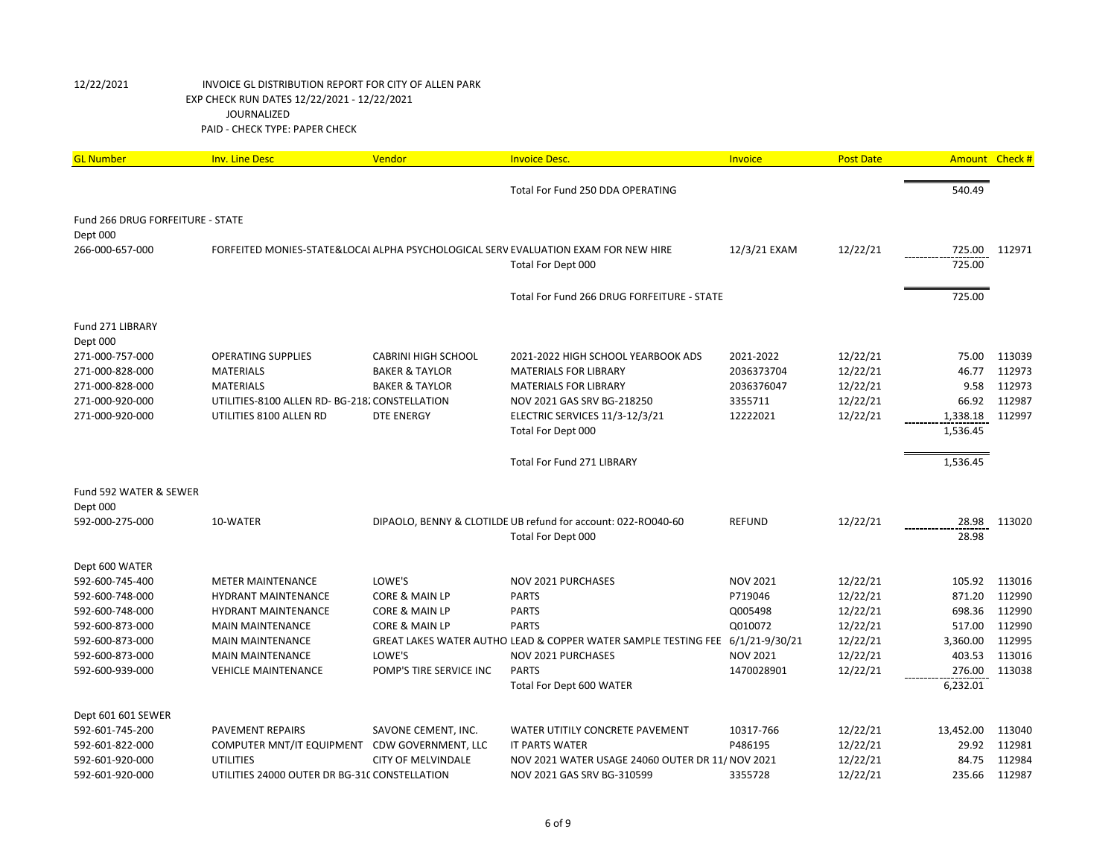| <b>GL Number</b>                 | <b>Inv. Line Desc</b>                          | Vendor                     | <b>Invoice Desc.</b>                                                               | Invoice         | <b>Post Date</b> | <b>Amount</b>        | Check# |
|----------------------------------|------------------------------------------------|----------------------------|------------------------------------------------------------------------------------|-----------------|------------------|----------------------|--------|
|                                  |                                                |                            | Total For Fund 250 DDA OPERATING                                                   |                 |                  | 540.49               |        |
| Fund 266 DRUG FORFEITURE - STATE |                                                |                            |                                                                                    |                 |                  |                      |        |
| Dept 000                         |                                                |                            |                                                                                    |                 |                  |                      |        |
| 266-000-657-000                  |                                                |                            | FORFEITED MONIES-STATE&LOCAL ALPHA PSYCHOLOGICAL SERV EVALUATION EXAM FOR NEW HIRE | 12/3/21 EXAM    | 12/22/21         | 725.00               | 112971 |
|                                  |                                                |                            | Total For Dept 000                                                                 |                 |                  | 725.00               |        |
|                                  |                                                |                            | Total For Fund 266 DRUG FORFEITURE - STATE                                         |                 |                  | 725.00               |        |
| Fund 271 LIBRARY                 |                                                |                            |                                                                                    |                 |                  |                      |        |
| Dept 000                         |                                                |                            |                                                                                    |                 |                  |                      |        |
| 271-000-757-000                  | <b>OPERATING SUPPLIES</b>                      | <b>CABRINI HIGH SCHOOL</b> | 2021-2022 HIGH SCHOOL YEARBOOK ADS                                                 | 2021-2022       | 12/22/21         | 75.00                | 113039 |
| 271-000-828-000                  | <b>MATERIALS</b>                               | <b>BAKER &amp; TAYLOR</b>  | <b>MATERIALS FOR LIBRARY</b>                                                       | 2036373704      | 12/22/21         | 46.77                | 112973 |
| 271-000-828-000                  | <b>MATERIALS</b>                               | <b>BAKER &amp; TAYLOR</b>  | <b>MATERIALS FOR LIBRARY</b>                                                       | 2036376047      | 12/22/21         | 9.58                 | 112973 |
| 271-000-920-000                  | UTILITIES-8100 ALLEN RD- BG-218. CONSTELLATION |                            | NOV 2021 GAS SRV BG-218250                                                         | 3355711         | 12/22/21         | 66.92                | 112987 |
| 271-000-920-000                  | UTILITIES 8100 ALLEN RD                        | <b>DTE ENERGY</b>          | ELECTRIC SERVICES 11/3-12/3/21<br>Total For Dept 000                               | 12222021        | 12/22/21         | 1,338.18<br>1,536.45 | 112997 |
|                                  |                                                |                            |                                                                                    |                 |                  |                      |        |
|                                  |                                                |                            | <b>Total For Fund 271 LIBRARY</b>                                                  |                 |                  | 1,536.45             |        |
| Fund 592 WATER & SEWER           |                                                |                            |                                                                                    |                 |                  |                      |        |
| Dept 000                         |                                                |                            |                                                                                    |                 |                  |                      |        |
| 592-000-275-000                  | 10-WATER                                       |                            | DIPAOLO, BENNY & CLOTILDE UB refund for account: 022-RO040-60                      | <b>REFUND</b>   | 12/22/21         | 28.98                | 113020 |
|                                  |                                                |                            | Total For Dept 000                                                                 |                 |                  | 28.98                |        |
| Dept 600 WATER                   |                                                |                            |                                                                                    |                 |                  |                      |        |
| 592-600-745-400                  | <b>METER MAINTENANCE</b>                       | LOWE'S                     | NOV 2021 PURCHASES                                                                 | <b>NOV 2021</b> | 12/22/21         | 105.92               | 113016 |
| 592-600-748-000                  | <b>HYDRANT MAINTENANCE</b>                     | <b>CORE &amp; MAIN LP</b>  | <b>PARTS</b>                                                                       | P719046         | 12/22/21         | 871.20               | 112990 |
| 592-600-748-000                  | <b>HYDRANT MAINTENANCE</b>                     | <b>CORE &amp; MAIN LP</b>  | <b>PARTS</b>                                                                       | Q005498         | 12/22/21         | 698.36               | 112990 |
| 592-600-873-000                  | <b>MAIN MAINTENANCE</b>                        | <b>CORE &amp; MAIN LP</b>  | <b>PARTS</b>                                                                       | Q010072         | 12/22/21         | 517.00               | 112990 |
| 592-600-873-000                  | <b>MAIN MAINTENANCE</b>                        |                            | GREAT LAKES WATER AUTHO LEAD & COPPER WATER SAMPLE TESTING FEE                     | 6/1/21-9/30/21  | 12/22/21         | 3,360.00             | 112995 |
| 592-600-873-000                  | <b>MAIN MAINTENANCE</b>                        | LOWE'S                     | NOV 2021 PURCHASES                                                                 | <b>NOV 2021</b> | 12/22/21         | 403.53               | 113016 |
| 592-600-939-000                  | <b>VEHICLE MAINTENANCE</b>                     | POMP'S TIRE SERVICE INC    | <b>PARTS</b>                                                                       | 1470028901      | 12/22/21         | 276.00               | 113038 |
|                                  |                                                |                            | Total For Dept 600 WATER                                                           |                 |                  | 6,232.01             |        |
| Dept 601 601 SEWER               |                                                |                            |                                                                                    |                 |                  |                      |        |
| 592-601-745-200                  | PAVEMENT REPAIRS                               | SAVONE CEMENT, INC.        | WATER UTITILY CONCRETE PAVEMENT                                                    | 10317-766       | 12/22/21         | 13,452.00            | 113040 |
| 592-601-822-000                  | COMPUTER MNT/IT EQUIPMENT                      | CDW GOVERNMENT, LLC        | IT PARTS WATER                                                                     | P486195         | 12/22/21         | 29.92                | 112981 |
| 592-601-920-000                  | <b>UTILITIES</b>                               | <b>CITY OF MELVINDALE</b>  | NOV 2021 WATER USAGE 24060 OUTER DR 11/NOV 2021                                    |                 | 12/22/21         | 84.75                | 112984 |
| 592-601-920-000                  | UTILITIES 24000 OUTER DR BG-31( CONSTELLATION  |                            | NOV 2021 GAS SRV BG-310599                                                         | 3355728         | 12/22/21         | 235.66               | 112987 |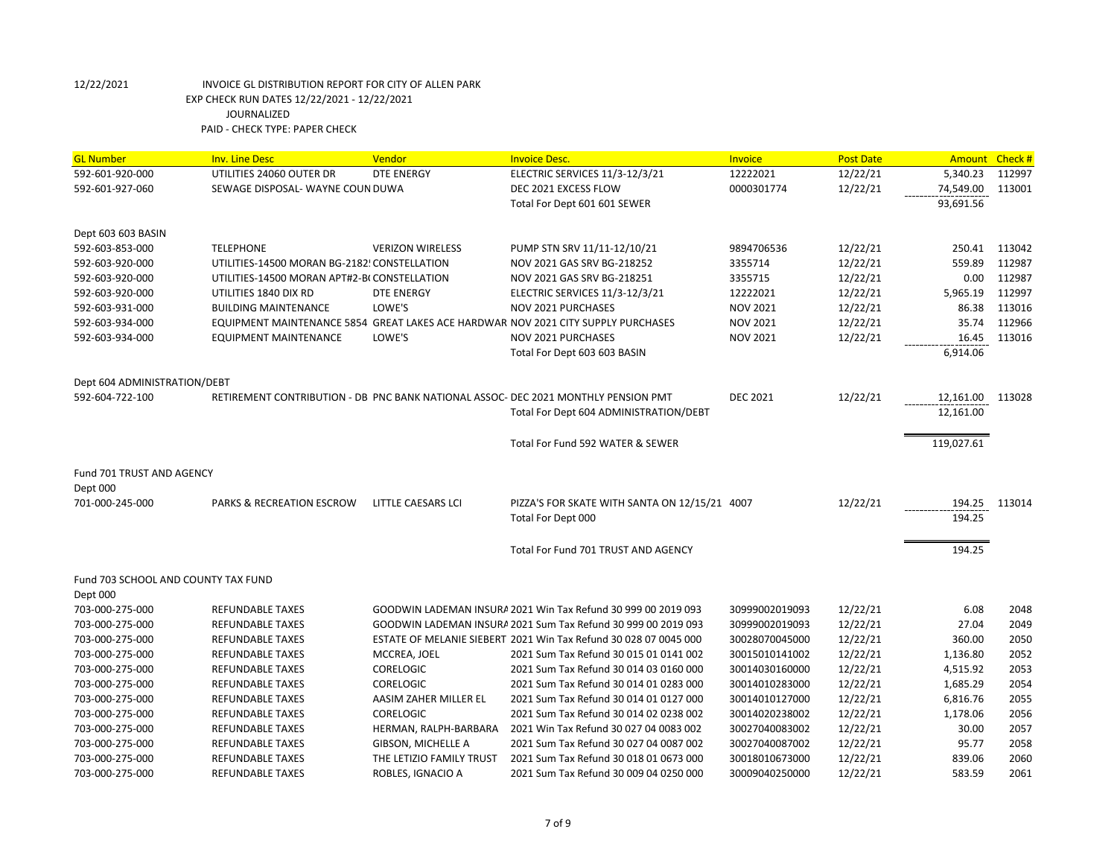| <b>GL Number</b>                      | <b>Inv. Line Desc</b>                        | Vendor                   | <b>Invoice Desc.</b>                                                               | <b>Invoice</b>  | <b>Post Date</b> | Amount Check #   |        |
|---------------------------------------|----------------------------------------------|--------------------------|------------------------------------------------------------------------------------|-----------------|------------------|------------------|--------|
| 592-601-920-000                       | UTILITIES 24060 OUTER DR                     | <b>DTE ENERGY</b>        | ELECTRIC SERVICES 11/3-12/3/21                                                     | 12222021        | 12/22/21         | 5,340.23         | 112997 |
| 592-601-927-060                       | SEWAGE DISPOSAL- WAYNE COUN DUWA             |                          | DEC 2021 EXCESS FLOW                                                               | 0000301774      | 12/22/21         | 74,549.00        | 113001 |
|                                       |                                              |                          | Total For Dept 601 601 SEWER                                                       |                 |                  | 93,691.56        |        |
| Dept 603 603 BASIN                    |                                              |                          |                                                                                    |                 |                  |                  |        |
| 592-603-853-000                       | <b>TELEPHONE</b>                             | <b>VERIZON WIRELESS</b>  | PUMP STN SRV 11/11-12/10/21                                                        | 9894706536      | 12/22/21         | 250.41           | 113042 |
| 592-603-920-000                       | UTILITIES-14500 MORAN BG-2182! CONSTELLATION |                          | NOV 2021 GAS SRV BG-218252                                                         | 3355714         | 12/22/21         | 559.89           | 112987 |
| 592-603-920-000                       | UTILITIES-14500 MORAN APT#2-B(CONSTELLATION  |                          | NOV 2021 GAS SRV BG-218251                                                         | 3355715         | 12/22/21         | 0.00             | 112987 |
| 592-603-920-000                       | UTILITIES 1840 DIX RD                        | <b>DTE ENERGY</b>        | ELECTRIC SERVICES 11/3-12/3/21                                                     | 12222021        | 12/22/21         | 5,965.19         | 112997 |
| 592-603-931-000                       | <b>BUILDING MAINTENANCE</b>                  | LOWE'S                   | NOV 2021 PURCHASES                                                                 | <b>NOV 2021</b> | 12/22/21         | 86.38            | 113016 |
| 592-603-934-000                       |                                              |                          | EQUIPMENT MAINTENANCE 5854 GREAT LAKES ACE HARDWAR NOV 2021 CITY SUPPLY PURCHASES  | <b>NOV 2021</b> | 12/22/21         | 35.74            | 112966 |
| 592-603-934-000                       | <b>EQUIPMENT MAINTENANCE</b>                 | LOWE'S                   | <b>NOV 2021 PURCHASES</b>                                                          | <b>NOV 2021</b> | 12/22/21         | 16.45            | 113016 |
|                                       |                                              |                          | Total For Dept 603 603 BASIN                                                       |                 |                  | 6,914.06         |        |
| Dept 604 ADMINISTRATION/DEBT          |                                              |                          |                                                                                    |                 |                  |                  |        |
| 592-604-722-100                       |                                              |                          | RETIREMENT CONTRIBUTION - DB PNC BANK NATIONAL ASSOC- DEC 2021 MONTHLY PENSION PMT | <b>DEC 2021</b> | 12/22/21         | 12,161.00 113028 |        |
|                                       |                                              |                          | Total For Dept 604 ADMINISTRATION/DEBT                                             |                 |                  | 12,161.00        |        |
|                                       |                                              |                          | Total For Fund 592 WATER & SEWER                                                   |                 |                  | 119,027.61       |        |
| Fund 701 TRUST AND AGENCY<br>Dept 000 |                                              |                          |                                                                                    |                 |                  |                  |        |
| 701-000-245-000                       | PARKS & RECREATION ESCROW                    | LITTLE CAESARS LCI       | PIZZA'S FOR SKATE WITH SANTA ON 12/15/21 4007                                      |                 | 12/22/21         | 194.25           | 113014 |
|                                       |                                              |                          | Total For Dept 000                                                                 |                 |                  | 194.25           |        |
|                                       |                                              |                          | Total For Fund 701 TRUST AND AGENCY                                                |                 |                  | 194.25           |        |
| Fund 703 SCHOOL AND COUNTY TAX FUND   |                                              |                          |                                                                                    |                 |                  |                  |        |
| Dept 000<br>703-000-275-000           | REFUNDABLE TAXES                             |                          | GOODWIN LADEMAN INSURA 2021 Win Tax Refund 30 999 00 2019 093                      | 30999002019093  | 12/22/21         | 6.08             | 2048   |
| 703-000-275-000                       | <b>REFUNDABLE TAXES</b>                      |                          | GOODWIN LADEMAN INSURA 2021 Sum Tax Refund 30 999 00 2019 093                      | 30999002019093  | 12/22/21         | 27.04            | 2049   |
| 703-000-275-000                       | <b>REFUNDABLE TAXES</b>                      |                          | ESTATE OF MELANIE SIEBERT 2021 Win Tax Refund 30 028 07 0045 000                   | 30028070045000  | 12/22/21         | 360.00           | 2050   |
| 703-000-275-000                       | <b>REFUNDABLE TAXES</b>                      | MCCREA, JOEL             | 2021 Sum Tax Refund 30 015 01 0141 002                                             | 30015010141002  | 12/22/21         | 1,136.80         | 2052   |
| 703-000-275-000                       | <b>REFUNDABLE TAXES</b>                      | <b>CORELOGIC</b>         | 2021 Sum Tax Refund 30 014 03 0160 000                                             | 30014030160000  | 12/22/21         | 4,515.92         | 2053   |
| 703-000-275-000                       | <b>REFUNDABLE TAXES</b>                      | CORELOGIC                | 2021 Sum Tax Refund 30 014 01 0283 000                                             | 30014010283000  | 12/22/21         | 1,685.29         | 2054   |
| 703-000-275-000                       | <b>REFUNDABLE TAXES</b>                      | AASIM ZAHER MILLER EL    | 2021 Sum Tax Refund 30 014 01 0127 000                                             | 30014010127000  | 12/22/21         | 6,816.76         | 2055   |
| 703-000-275-000                       | <b>REFUNDABLE TAXES</b>                      | <b>CORELOGIC</b>         | 2021 Sum Tax Refund 30 014 02 0238 002                                             | 30014020238002  | 12/22/21         | 1,178.06         | 2056   |
| 703-000-275-000                       | <b>REFUNDABLE TAXES</b>                      | HERMAN, RALPH-BARBARA    | 2021 Win Tax Refund 30 027 04 0083 002                                             | 30027040083002  | 12/22/21         | 30.00            | 2057   |
| 703-000-275-000                       | <b>REFUNDABLE TAXES</b>                      | GIBSON, MICHELLE A       | 2021 Sum Tax Refund 30 027 04 0087 002                                             | 30027040087002  | 12/22/21         | 95.77            | 2058   |
| 703-000-275-000                       | REFUNDABLE TAXES                             | THE LETIZIO FAMILY TRUST | 2021 Sum Tax Refund 30 018 01 0673 000                                             | 30018010673000  | 12/22/21         | 839.06           | 2060   |
| 703-000-275-000                       | REFUNDABLE TAXES                             | ROBLES, IGNACIO A        | 2021 Sum Tax Refund 30 009 04 0250 000                                             | 30009040250000  | 12/22/21         | 583.59           | 2061   |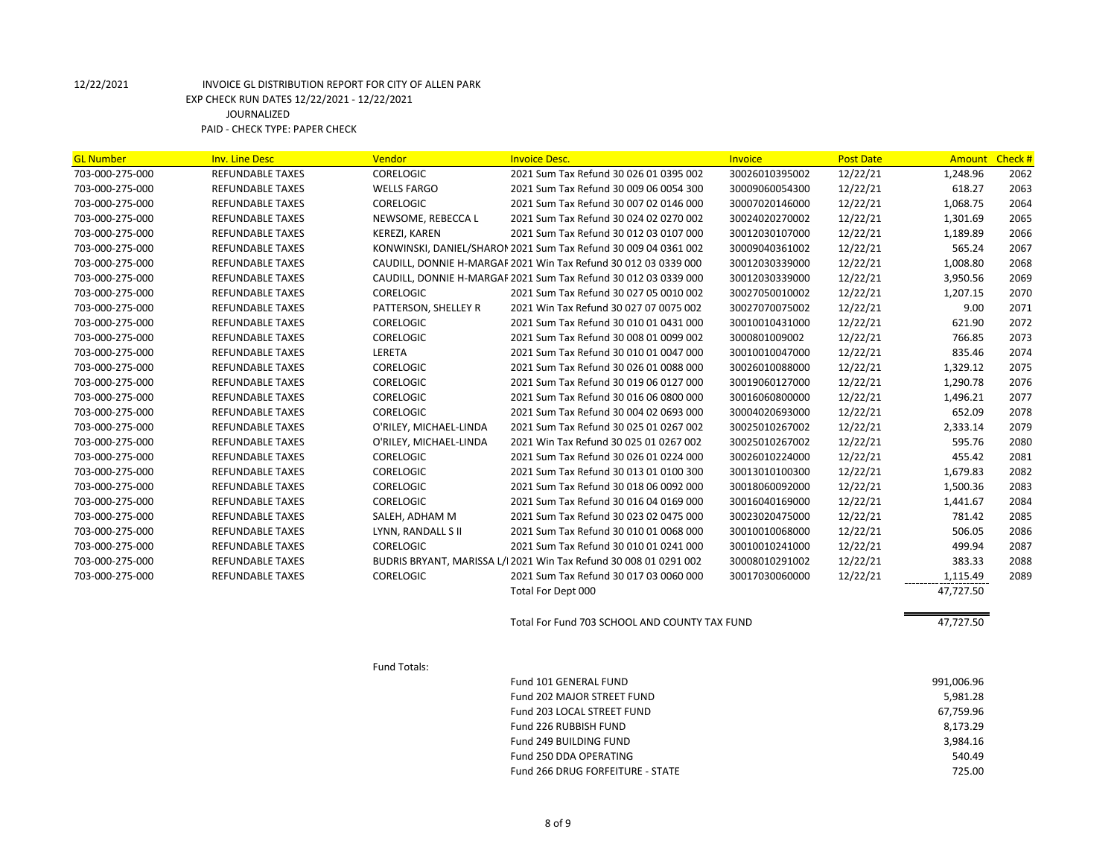| <b>GL Number</b> | <b>Inv. Line Desc</b>   | Vendor                 | <b>Invoice Desc.</b>                                              | Invoice        | <b>Post Date</b> | Amount    | Check # |
|------------------|-------------------------|------------------------|-------------------------------------------------------------------|----------------|------------------|-----------|---------|
| 703-000-275-000  | <b>REFUNDABLE TAXES</b> | <b>CORELOGIC</b>       | 2021 Sum Tax Refund 30 026 01 0395 002                            | 30026010395002 | 12/22/21         | 1.248.96  | 2062    |
| 703-000-275-000  | <b>REFUNDABLE TAXES</b> | <b>WELLS FARGO</b>     | 2021 Sum Tax Refund 30 009 06 0054 300                            | 30009060054300 | 12/22/21         | 618.27    | 2063    |
| 703-000-275-000  | <b>REFUNDABLE TAXES</b> | <b>CORELOGIC</b>       | 2021 Sum Tax Refund 30 007 02 0146 000                            | 30007020146000 | 12/22/21         | 1,068.75  | 2064    |
| 703-000-275-000  | <b>REFUNDABLE TAXES</b> | NEWSOME, REBECCA L     | 2021 Sum Tax Refund 30 024 02 0270 002                            | 30024020270002 | 12/22/21         | 1,301.69  | 2065    |
| 703-000-275-000  | <b>REFUNDABLE TAXES</b> | KEREZI, KAREN          | 2021 Sum Tax Refund 30 012 03 0107 000                            | 30012030107000 | 12/22/21         | 1,189.89  | 2066    |
| 703-000-275-000  | <b>REFUNDABLE TAXES</b> |                        | KONWINSKI, DANIEL/SHARON 2021 Sum Tax Refund 30 009 04 0361 002   | 30009040361002 | 12/22/21         | 565.24    | 2067    |
| 703-000-275-000  | <b>REFUNDABLE TAXES</b> |                        | CAUDILL, DONNIE H-MARGAF 2021 Win Tax Refund 30 012 03 0339 000   | 30012030339000 | 12/22/21         | 1,008.80  | 2068    |
| 703-000-275-000  | <b>REFUNDABLE TAXES</b> |                        | CAUDILL, DONNIE H-MARGAF 2021 Sum Tax Refund 30 012 03 0339 000   | 30012030339000 | 12/22/21         | 3,950.56  | 2069    |
| 703-000-275-000  | <b>REFUNDABLE TAXES</b> | <b>CORELOGIC</b>       | 2021 Sum Tax Refund 30 027 05 0010 002                            | 30027050010002 | 12/22/21         | 1,207.15  | 2070    |
| 703-000-275-000  | <b>REFUNDABLE TAXES</b> | PATTERSON, SHELLEY R   | 2021 Win Tax Refund 30 027 07 0075 002                            | 30027070075002 | 12/22/21         | 9.00      | 2071    |
| 703-000-275-000  | REFUNDABLE TAXES        | <b>CORELOGIC</b>       | 2021 Sum Tax Refund 30 010 01 0431 000                            | 30010010431000 | 12/22/21         | 621.90    | 2072    |
| 703-000-275-000  | <b>REFUNDABLE TAXES</b> | <b>CORELOGIC</b>       | 2021 Sum Tax Refund 30 008 01 0099 002                            | 3000801009002  | 12/22/21         | 766.85    | 2073    |
| 703-000-275-000  | <b>REFUNDABLE TAXES</b> | LERETA                 | 2021 Sum Tax Refund 30 010 01 0047 000                            | 30010010047000 | 12/22/21         | 835.46    | 2074    |
| 703-000-275-000  | <b>REFUNDABLE TAXES</b> | <b>CORELOGIC</b>       | 2021 Sum Tax Refund 30 026 01 0088 000                            | 30026010088000 | 12/22/21         | 1,329.12  | 2075    |
| 703-000-275-000  | <b>REFUNDABLE TAXES</b> | <b>CORELOGIC</b>       | 2021 Sum Tax Refund 30 019 06 0127 000                            | 30019060127000 | 12/22/21         | 1,290.78  | 2076    |
| 703-000-275-000  | <b>REFUNDABLE TAXES</b> | <b>CORELOGIC</b>       | 2021 Sum Tax Refund 30 016 06 0800 000                            | 30016060800000 | 12/22/21         | 1,496.21  | 2077    |
| 703-000-275-000  | <b>REFUNDABLE TAXES</b> | <b>CORELOGIC</b>       | 2021 Sum Tax Refund 30 004 02 0693 000                            | 30004020693000 | 12/22/21         | 652.09    | 2078    |
| 703-000-275-000  | <b>REFUNDABLE TAXES</b> | O'RILEY, MICHAEL-LINDA | 2021 Sum Tax Refund 30 025 01 0267 002                            | 30025010267002 | 12/22/21         | 2,333.14  | 2079    |
| 703-000-275-000  | <b>REFUNDABLE TAXES</b> | O'RILEY, MICHAEL-LINDA | 2021 Win Tax Refund 30 025 01 0267 002                            | 30025010267002 | 12/22/21         | 595.76    | 2080    |
| 703-000-275-000  | <b>REFUNDABLE TAXES</b> | <b>CORELOGIC</b>       | 2021 Sum Tax Refund 30 026 01 0224 000                            | 30026010224000 | 12/22/21         | 455.42    | 2081    |
| 703-000-275-000  | <b>REFUNDABLE TAXES</b> | <b>CORELOGIC</b>       | 2021 Sum Tax Refund 30 013 01 0100 300                            | 30013010100300 | 12/22/21         | 1,679.83  | 2082    |
| 703-000-275-000  | <b>REFUNDABLE TAXES</b> | <b>CORELOGIC</b>       | 2021 Sum Tax Refund 30 018 06 0092 000                            | 30018060092000 | 12/22/21         | 1,500.36  | 2083    |
| 703-000-275-000  | <b>REFUNDABLE TAXES</b> | CORELOGIC              | 2021 Sum Tax Refund 30 016 04 0169 000                            | 30016040169000 | 12/22/21         | 1,441.67  | 2084    |
| 703-000-275-000  | <b>REFUNDABLE TAXES</b> | SALEH, ADHAM M         | 2021 Sum Tax Refund 30 023 02 0475 000                            | 30023020475000 | 12/22/21         | 781.42    | 2085    |
| 703-000-275-000  | <b>REFUNDABLE TAXES</b> | LYNN, RANDALL S II     | 2021 Sum Tax Refund 30 010 01 0068 000                            | 30010010068000 | 12/22/21         | 506.05    | 2086    |
| 703-000-275-000  | <b>REFUNDABLE TAXES</b> | <b>CORELOGIC</b>       | 2021 Sum Tax Refund 30 010 01 0241 000                            | 30010010241000 | 12/22/21         | 499.94    | 2087    |
| 703-000-275-000  | <b>REFUNDABLE TAXES</b> |                        | BUDRIS BRYANT, MARISSA L/I 2021 Win Tax Refund 30 008 01 0291 002 | 30008010291002 | 12/22/21         | 383.33    | 2088    |
| 703-000-275-000  | <b>REFUNDABLE TAXES</b> | <b>CORELOGIC</b>       | 2021 Sum Tax Refund 30 017 03 0060 000                            | 30017030060000 | 12/22/21         | 1,115.49  | 2089    |
|                  |                         |                        | Total For Dept 000                                                |                |                  | 47,727.50 |         |
|                  |                         |                        |                                                                   |                |                  |           |         |

Total For Fund 703 SCHOOL AND COUNTY TAX FUND 47,727.50

| Fund Totals: |                                  |            |
|--------------|----------------------------------|------------|
|              | Fund 101 GENERAL FUND            | 991,006.96 |
|              | Fund 202 MAJOR STREET FUND       | 5,981.28   |
|              | Fund 203 LOCAL STREET FUND       | 67.759.96  |
|              | Fund 226 RUBBISH FUND            | 8.173.29   |
|              | Fund 249 BUILDING FUND           | 3.984.16   |
|              | Fund 250 DDA OPERATING           | 540.49     |
|              | Fund 266 DRUG FORFEITURE - STATE | 725.00     |